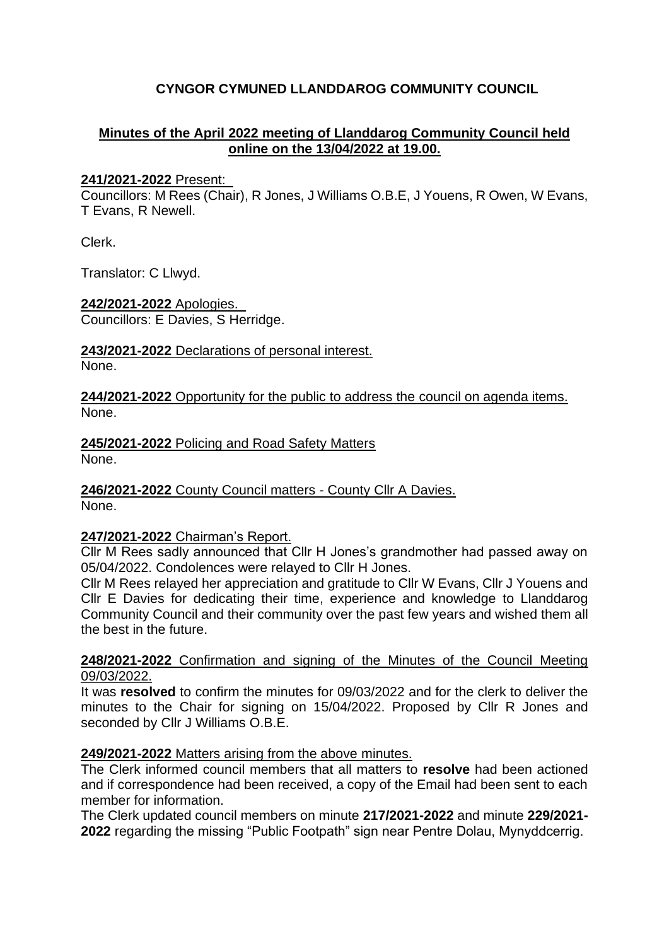# **CYNGOR CYMUNED LLANDDAROG COMMUNITY COUNCIL**

### **Minutes of the April 2022 meeting of Llanddarog Community Council held online on the 13/04/2022 at 19.00.**

#### **241/2021-2022** Present:

Councillors: M Rees (Chair), R Jones, J Williams O.B.E, J Youens, R Owen, W Evans, T Evans, R Newell.

Clerk.

Translator: C Llwyd.

**242/2021-2022** Apologies.

Councillors: E Davies, S Herridge.

**243/2021-2022** Declarations of personal interest. None.

**244/2021-2022** Opportunity for the public to address the council on agenda items. None.

**245/2021-2022** Policing and Road Safety Matters None.

**246/2021-2022** County Council matters - County Cllr A Davies. None.

### **247/2021-2022** Chairman's Report.

Cllr M Rees sadly announced that Cllr H Jones's grandmother had passed away on 05/04/2022. Condolences were relayed to Cllr H Jones.

Cllr M Rees relayed her appreciation and gratitude to Cllr W Evans, Cllr J Youens and Cllr E Davies for dedicating their time, experience and knowledge to Llanddarog Community Council and their community over the past few years and wished them all the best in the future.

#### **248/2021-2022** Confirmation and signing of the Minutes of the Council Meeting 09/03/2022.

It was **resolved** to confirm the minutes for 09/03/2022 and for the clerk to deliver the minutes to the Chair for signing on 15/04/2022. Proposed by Cllr R Jones and seconded by Cllr J Williams O.B.E.

### **249/2021-2022** Matters arising from the above minutes.

The Clerk informed council members that all matters to **resolve** had been actioned and if correspondence had been received, a copy of the Email had been sent to each member for information.

The Clerk updated council members on minute **217/2021-2022** and minute **229/2021- 2022** regarding the missing "Public Footpath" sign near Pentre Dolau, Mynyddcerrig.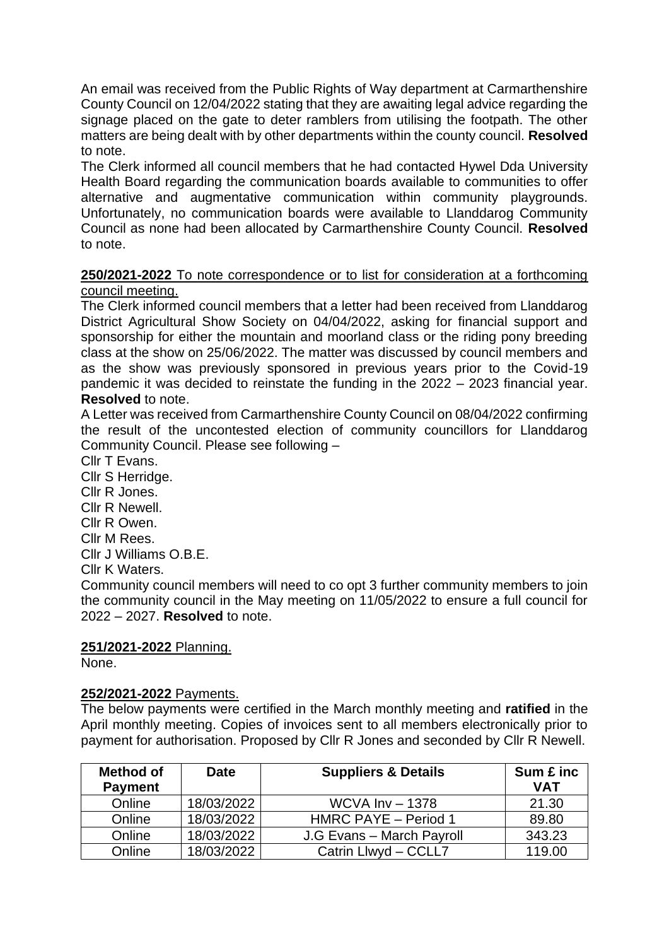An email was received from the Public Rights of Way department at Carmarthenshire County Council on 12/04/2022 stating that they are awaiting legal advice regarding the signage placed on the gate to deter ramblers from utilising the footpath. The other matters are being dealt with by other departments within the county council. **Resolved** to note.

The Clerk informed all council members that he had contacted Hywel Dda University Health Board regarding the communication boards available to communities to offer alternative and augmentative communication within community playgrounds. Unfortunately, no communication boards were available to Llanddarog Community Council as none had been allocated by Carmarthenshire County Council. **Resolved** to note.

### **250/2021-2022** To note correspondence or to list for consideration at a forthcoming council meeting.

The Clerk informed council members that a letter had been received from Llanddarog District Agricultural Show Society on 04/04/2022, asking for financial support and sponsorship for either the mountain and moorland class or the riding pony breeding class at the show on 25/06/2022. The matter was discussed by council members and as the show was previously sponsored in previous years prior to the Covid-19 pandemic it was decided to reinstate the funding in the 2022 – 2023 financial year. **Resolved** to note.

A Letter was received from Carmarthenshire County Council on 08/04/2022 confirming the result of the uncontested election of community councillors for Llanddarog Community Council. Please see following –

Cllr T Evans. Cllr S Herridge. Cllr R Jones. Cllr R Newell. Cllr R Owen. Cllr M Rees. Cllr J Williams O.B.E. Cllr K Waters.

Community council members will need to co opt 3 further community members to join the community council in the May meeting on 11/05/2022 to ensure a full council for 2022 – 2027. **Resolved** to note.

# **251/2021-2022** Planning.

None.

# **252/2021-2022** Payments.

The below payments were certified in the March monthly meeting and **ratified** in the April monthly meeting. Copies of invoices sent to all members electronically prior to payment for authorisation. Proposed by Cllr R Jones and seconded by Cllr R Newell.

| <b>Method of</b><br><b>Payment</b> | <b>Date</b> | <b>Suppliers &amp; Details</b> | Sum £ inc<br><b>VAT</b> |
|------------------------------------|-------------|--------------------------------|-------------------------|
| Online                             | 18/03/2022  | WCVA $Inv - 1378$              | 21.30                   |
| Online                             | 18/03/2022  | HMRC PAYE - Period 1           | 89.80                   |
| Online                             | 18/03/2022  | J.G Evans - March Payroll      | 343.23                  |
| Online                             | 18/03/2022  | Catrin Llwyd - CCLL7           | 119.00                  |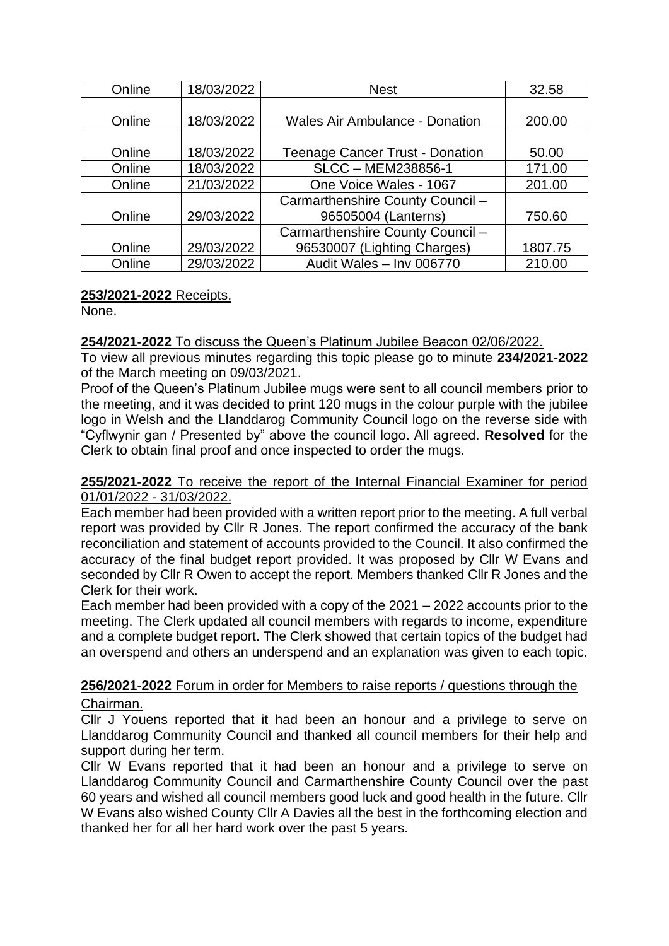| Online | 18/03/2022 | <b>Nest</b>                            | 32.58   |
|--------|------------|----------------------------------------|---------|
|        |            |                                        |         |
| Online | 18/03/2022 | <b>Wales Air Ambulance - Donation</b>  | 200.00  |
|        |            |                                        |         |
| Online | 18/03/2022 | <b>Teenage Cancer Trust - Donation</b> | 50.00   |
| Online | 18/03/2022 | SLCC - MEM238856-1                     | 171.00  |
| Online | 21/03/2022 | One Voice Wales - 1067                 | 201.00  |
|        |            | Carmarthenshire County Council -       |         |
| Online | 29/03/2022 | 96505004 (Lanterns)                    | 750.60  |
|        |            | Carmarthenshire County Council -       |         |
| Online | 29/03/2022 | 96530007 (Lighting Charges)            | 1807.75 |
| Online | 29/03/2022 | Audit Wales - Inv 006770               | 210.00  |

# **253/2021-2022** Receipts.

None.

### **254/2021-2022** To discuss the Queen's Platinum Jubilee Beacon 02/06/2022.

To view all previous minutes regarding this topic please go to minute **234/2021-2022** of the March meeting on 09/03/2021.

Proof of the Queen's Platinum Jubilee mugs were sent to all council members prior to the meeting, and it was decided to print 120 mugs in the colour purple with the jubilee logo in Welsh and the Llanddarog Community Council logo on the reverse side with "Cyflwynir gan / Presented by" above the council logo. All agreed. **Resolved** for the Clerk to obtain final proof and once inspected to order the mugs.

### **255/2021-2022** To receive the report of the Internal Financial Examiner for period 01/01/2022 - 31/03/2022.

Each member had been provided with a written report prior to the meeting. A full verbal report was provided by Cllr R Jones. The report confirmed the accuracy of the bank reconciliation and statement of accounts provided to the Council. It also confirmed the accuracy of the final budget report provided. It was proposed by Cllr W Evans and seconded by Cllr R Owen to accept the report. Members thanked Cllr R Jones and the Clerk for their work.

Each member had been provided with a copy of the 2021 – 2022 accounts prior to the meeting. The Clerk updated all council members with regards to income, expenditure and a complete budget report. The Clerk showed that certain topics of the budget had an overspend and others an underspend and an explanation was given to each topic.

# **256/2021-2022** Forum in order for Members to raise reports / questions through the Chairman.

Cllr J Youens reported that it had been an honour and a privilege to serve on Llanddarog Community Council and thanked all council members for their help and support during her term.

Cllr W Evans reported that it had been an honour and a privilege to serve on Llanddarog Community Council and Carmarthenshire County Council over the past 60 years and wished all council members good luck and good health in the future. Cllr W Evans also wished County Cllr A Davies all the best in the forthcoming election and thanked her for all her hard work over the past 5 years.